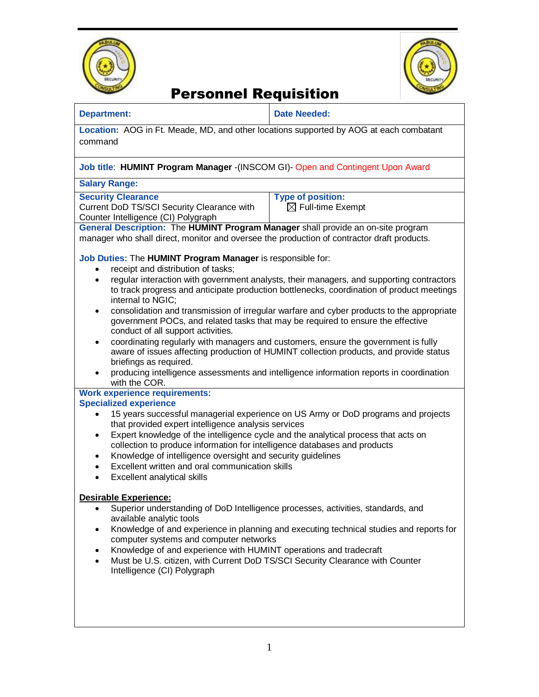



# Personnel Requisition

### **Department: Department: Department: Date Needed:**

**Location:** AOG in Ft. Meade, MD, and other locations supported by AOG at each combatant command

## **Job title**: **HUMINT Program Manager** -(INSCOM GI)- Open and Contingent Upon Award

### **Salary Range:**

### **Security Clearance**

Current DoD TS/SCI Security Clearance with Counter Intelligence (CI) Polygraph

**Type of position:**   $\boxtimes$  Full-time Exempt

**General Description:** The **HUMINT Program Manager** shall provide an on-site program manager who shall direct, monitor and oversee the production of contractor draft products.

### **Job Duties:** The **HUMINT Program Manager** is responsible for:

- receipt and distribution of tasks;
- regular interaction with government analysts, their managers, and supporting contractors to track progress and anticipate production bottlenecks, coordination of product meetings internal to NGIC;
- consolidation and transmission of irregular warfare and cyber products to the appropriate government POCs, and related tasks that may be required to ensure the effective conduct of all support activities.
- coordinating regularly with managers and customers, ensure the government is fully aware of issues affecting production of HUMINT collection products, and provide status briefings as required.
- producing intelligence assessments and intelligence information reports in coordination with the COR.

## **Work experience requirements:**

### **Specialized experience**

- 15 years successful managerial experience on US Army or DoD programs and projects that provided expert intelligence analysis services
- Expert knowledge of the intelligence cycle and the analytical process that acts on collection to produce information for intelligence databases and products
- Knowledge of intelligence oversight and security guidelines
- Excellent written and oral communication skills
- Excellent analytical skills

### **Desirable Experience:**

- Superior understanding of DoD Intelligence processes, activities, standards, and available analytic tools
- Knowledge of and experience in planning and executing technical studies and reports for computer systems and computer networks
- Knowledge of and experience with HUMINT operations and tradecraft
- Must be U.S. citizen, with Current DoD TS/SCI Security Clearance with Counter Intelligence (CI) Polygraph